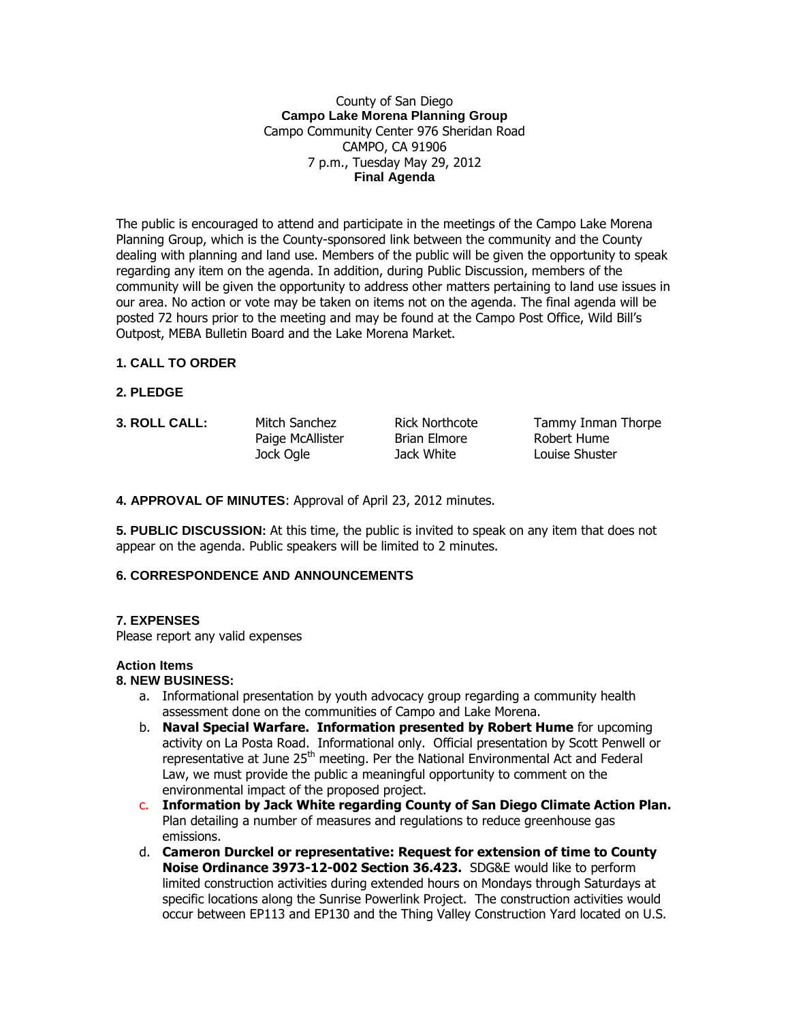### County of San Diego **Campo Lake Morena Planning Group** Campo Community Center 976 Sheridan Road CAMPO, CA 91906 7 p.m., Tuesday May 29, 2012 **Final Agenda**

The public is encouraged to attend and participate in the meetings of the Campo Lake Morena Planning Group, which is the County-sponsored link between the community and the County dealing with planning and land use. Members of the public will be given the opportunity to speak regarding any item on the agenda. In addition, during Public Discussion, members of the community will be given the opportunity to address other matters pertaining to land use issues in our area. No action or vote may be taken on items not on the agenda. The final agenda will be posted 72 hours prior to the meeting and may be found at the Campo Post Office, Wild Bill's Outpost, MEBA Bulletin Board and the Lake Morena Market.

## **1. CALL TO ORDER**

- **2. PLEDGE**
- 

Paige McAllister Brian Elmore Robert Hume Jock Ogle Jack White Louise Shuster

**3. ROLL CALL:** Mitch Sanchez Rick Northcote Tammy Inman Thorpe

**4. APPROVAL OF MINUTES**: Approval of April 23, 2012 minutes.

**5. PUBLIC DISCUSSION:** At this time, the public is invited to speak on any item that does not appear on the agenda. Public speakers will be limited to 2 minutes.

# **6. CORRESPONDENCE AND ANNOUNCEMENTS**

## **7. EXPENSES**

Please report any valid expenses

#### **Action Items**

#### **8. NEW BUSINESS:**

- a. Informational presentation by youth advocacy group regarding a community health assessment done on the communities of Campo and Lake Morena.
- b. **Naval Special Warfare. Information presented by Robert Hume** for upcoming activity on La Posta Road. Informational only. Official presentation by Scott Penwell or representative at June 25<sup>th</sup> meeting. Per the National Environmental Act and Federal Law, we must provide the public a meaningful opportunity to comment on the environmental impact of the proposed project.
- c. **Information by Jack White regarding County of San Diego Climate Action Plan.** Plan detailing a number of measures and regulations to reduce greenhouse gas emissions.
- d. **Cameron Durckel or representative: Request for extension of time to County Noise Ordinance 3973-12-002 Section 36.423.** SDG&E would like to perform limited construction activities during extended hours on Mondays through Saturdays at specific locations along the Sunrise Powerlink Project. The construction activities would occur between EP113 and EP130 and the Thing Valley Construction Yard located on U.S.